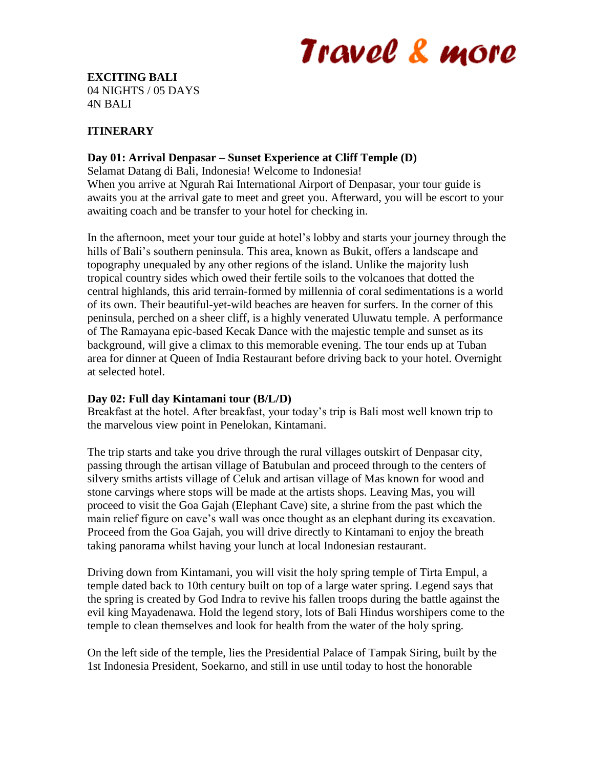# Travel & more

**EXCITING BALI**  04 NIGHTS / 05 DAYS 4N BALI

# **ITINERARY**

## **Day 01: Arrival Denpasar – Sunset Experience at Cliff Temple (D)**

Selamat Datang di Bali, Indonesia! Welcome to Indonesia! When you arrive at Ngurah Rai International Airport of Denpasar, your tour guide is awaits you at the arrival gate to meet and greet you. Afterward, you will be escort to your awaiting coach and be transfer to your hotel for checking in.

In the afternoon, meet your tour guide at hotel's lobby and starts your journey through the hills of Bali's southern peninsula. This area, known as Bukit, offers a landscape and topography unequaled by any other regions of the island. Unlike the majority lush tropical country sides which owed their fertile soils to the volcanoes that dotted the central highlands, this arid terrain-formed by millennia of coral sedimentations is a world of its own. Their beautiful-yet-wild beaches are heaven for surfers. In the corner of this peninsula, perched on a sheer cliff, is a highly venerated Uluwatu temple. A performance of The Ramayana epic-based Kecak Dance with the majestic temple and sunset as its background, will give a climax to this memorable evening. The tour ends up at Tuban area for dinner at Queen of India Restaurant before driving back to your hotel. Overnight at selected hotel.

#### **Day 02: Full day Kintamani tour (B/L/D)**

Breakfast at the hotel. After breakfast, your today's trip is Bali most well known trip to the marvelous view point in Penelokan, Kintamani.

The trip starts and take you drive through the rural villages outskirt of Denpasar city, passing through the artisan village of Batubulan and proceed through to the centers of silvery smiths artists village of Celuk and artisan village of Mas known for wood and stone carvings where stops will be made at the artists shops. Leaving Mas, you will proceed to visit the Goa Gajah (Elephant Cave) site, a shrine from the past which the main relief figure on cave's wall was once thought as an elephant during its excavation. Proceed from the Goa Gajah, you will drive directly to Kintamani to enjoy the breath taking panorama whilst having your lunch at local Indonesian restaurant.

Driving down from Kintamani, you will visit the holy spring temple of Tirta Empul, a temple dated back to 10th century built on top of a large water spring. Legend says that the spring is created by God Indra to revive his fallen troops during the battle against the evil king Mayadenawa. Hold the legend story, lots of Bali Hindus worshipers come to the temple to clean themselves and look for health from the water of the holy spring.

On the left side of the temple, lies the Presidential Palace of Tampak Siring, built by the 1st Indonesia President, Soekarno, and still in use until today to host the honorable